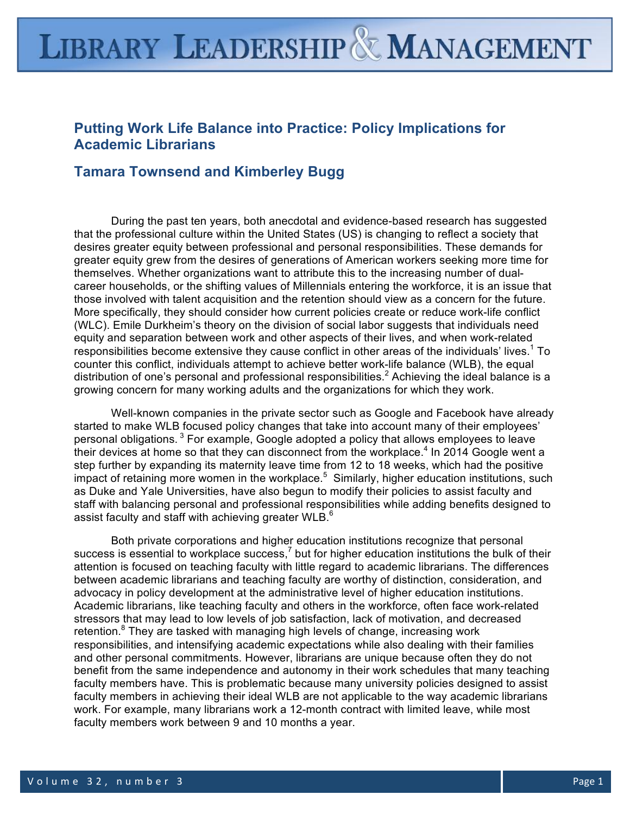**LIBRARY LEADERSHIP & MANAGEMENT** 

# **Putting Work Life Balance into Practice: Policy Implications for Academic Librarians**

## **Tamara Townsend and Kimberley Bugg**

During the past ten years, both anecdotal and evidence-based research has suggested that the professional culture within the United States (US) is changing to reflect a society that desires greater equity between professional and personal responsibilities. These demands for greater equity grew from the desires of generations of American workers seeking more time for themselves. Whether organizations want to attribute this to the increasing number of dualcareer households, or the shifting values of Millennials entering the workforce, it is an issue that those involved with talent acquisition and the retention should view as a concern for the future. More specifically, they should consider how current policies create or reduce work-life conflict (WLC). Emile Durkheim's theory on the division of social labor suggests that individuals need equity and separation between work and other aspects of their lives, and when work-related responsibilities become extensive they cause conflict in other areas of the individuals' lives.<sup>1</sup> To counter this conflict, individuals attempt to achieve better work-life balance (WLB), the equal distribution of one's personal and professional responsibilities.<sup>2</sup> Achieving the ideal balance is a growing concern for many working adults and the organizations for which they work.

Well-known companies in the private sector such as Google and Facebook have already started to make WLB focused policy changes that take into account many of their employees' personal obligations. <sup>3</sup> For example, Google adopted a policy that allows employees to leave their devices at home so that they can disconnect from the workplace.<sup>4</sup> In 2014 Google went a step further by expanding its maternity leave time from 12 to 18 weeks, which had the positive impact of retaining more women in the workplace.<sup>5</sup> Similarly, higher education institutions, such as Duke and Yale Universities, have also begun to modify their policies to assist faculty and staff with balancing personal and professional responsibilities while adding benefits designed to assist faculty and staff with achieving greater WLB.<sup>6</sup>

Both private corporations and higher education institutions recognize that personal success is essential to workplace success, $^7$  but for higher education institutions the bulk of their attention is focused on teaching faculty with little regard to academic librarians. The differences between academic librarians and teaching faculty are worthy of distinction, consideration, and advocacy in policy development at the administrative level of higher education institutions. Academic librarians, like teaching faculty and others in the workforce, often face work-related stressors that may lead to low levels of job satisfaction, lack of motivation, and decreased retention. $8$  They are tasked with managing high levels of change, increasing work responsibilities, and intensifying academic expectations while also dealing with their families and other personal commitments. However, librarians are unique because often they do not benefit from the same independence and autonomy in their work schedules that many teaching faculty members have. This is problematic because many university policies designed to assist faculty members in achieving their ideal WLB are not applicable to the way academic librarians work. For example, many librarians work a 12-month contract with limited leave, while most faculty members work between 9 and 10 months a year.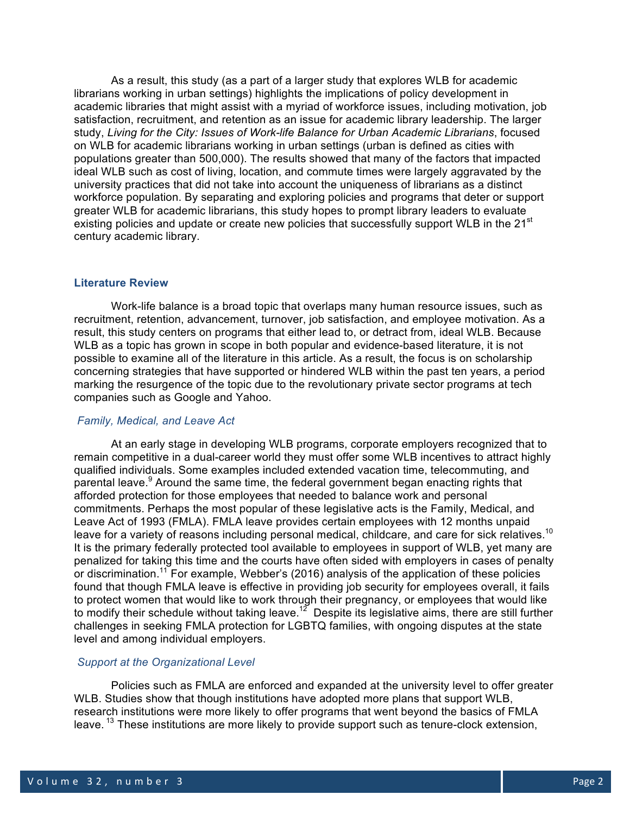As a result, this study (as a part of a larger study that explores WLB for academic librarians working in urban settings) highlights the implications of policy development in academic libraries that might assist with a myriad of workforce issues, including motivation, job satisfaction, recruitment, and retention as an issue for academic library leadership. The larger study, *Living for the City: Issues of Work-life Balance for Urban Academic Librarians*, focused on WLB for academic librarians working in urban settings (urban is defined as cities with populations greater than 500,000). The results showed that many of the factors that impacted ideal WLB such as cost of living, location, and commute times were largely aggravated by the university practices that did not take into account the uniqueness of librarians as a distinct workforce population. By separating and exploring policies and programs that deter or support greater WLB for academic librarians, this study hopes to prompt library leaders to evaluate existing policies and update or create new policies that successfully support WLB in the 21<sup>st</sup> century academic library.

#### **Literature Review**

Work-life balance is a broad topic that overlaps many human resource issues, such as recruitment, retention, advancement, turnover, job satisfaction, and employee motivation. As a result, this study centers on programs that either lead to, or detract from, ideal WLB. Because WLB as a topic has grown in scope in both popular and evidence-based literature, it is not possible to examine all of the literature in this article. As a result, the focus is on scholarship concerning strategies that have supported or hindered WLB within the past ten years, a period marking the resurgence of the topic due to the revolutionary private sector programs at tech companies such as Google and Yahoo.

#### *Family, Medical, and Leave Act*

At an early stage in developing WLB programs, corporate employers recognized that to remain competitive in a dual-career world they must offer some WLB incentives to attract highly qualified individuals. Some examples included extended vacation time, telecommuting, and parental leave.<sup>9</sup> Around the same time, the federal government began enacting rights that afforded protection for those employees that needed to balance work and personal commitments. Perhaps the most popular of these legislative acts is the Family, Medical, and Leave Act of 1993 (FMLA). FMLA leave provides certain employees with 12 months unpaid leave for a variety of reasons including personal medical, childcare, and care for sick relatives.<sup>10</sup> It is the primary federally protected tool available to employees in support of WLB, yet many are penalized for taking this time and the courts have often sided with employers in cases of penalty or discrimination.<sup>11</sup> For example, Webber's (2016) analysis of the application of these policies found that though FMLA leave is effective in providing job security for employees overall, it fails to protect women that would like to work through their pregnancy, or employees that would like to modify their schedule without taking leave.<sup>12</sup> Despite its legislative aims, there are still further challenges in seeking FMLA protection for LGBTQ families, with ongoing disputes at the state level and among individual employers.

### *Support at the Organizational Level*

Policies such as FMLA are enforced and expanded at the university level to offer greater WLB. Studies show that though institutions have adopted more plans that support WLB, research institutions were more likely to offer programs that went beyond the basics of FMLA leave. <sup>13</sup> These institutions are more likely to provide support such as tenure-clock extension,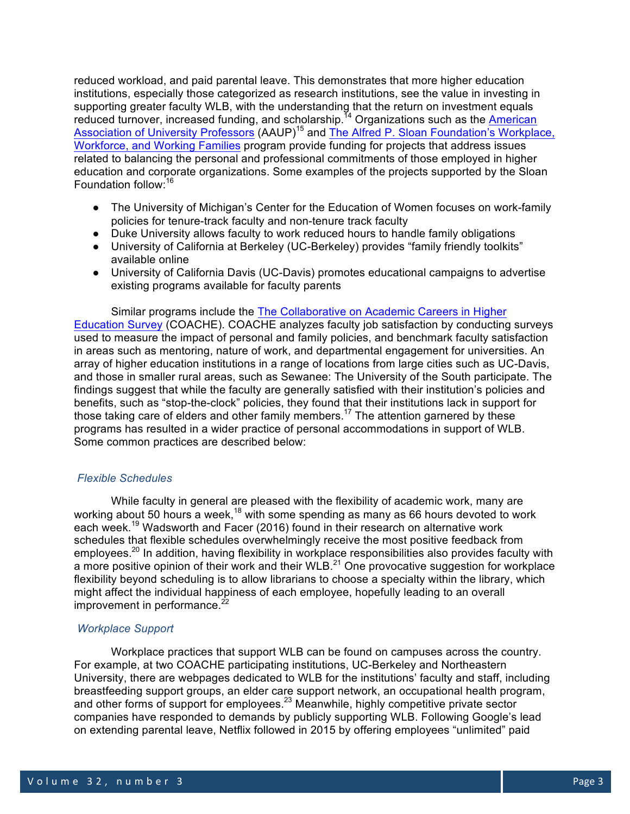reduced workload, and paid parental leave. This demonstrates that more higher education institutions, especially those categorized as research institutions, see the value in investing in supporting greater faculty WLB, with the understanding that the return on investment equals reduced turnover, increased funding, and scholarship.<sup>14</sup> Organizations such as the American Association of University Professors (AAUP)<sup>15</sup> and The Alfred P. Sloan Foundation's Workplace, Workforce, and Working Families program provide funding for projects that address issues related to balancing the personal and professional commitments of those employed in higher education and corporate organizations. Some examples of the projects supported by the Sloan Foundation follow:<sup>16</sup>

- The University of Michigan's Center for the Education of Women focuses on work-family policies for tenure-track faculty and non-tenure track faculty
- Duke University allows faculty to work reduced hours to handle family obligations
- University of California at Berkeley (UC-Berkeley) provides "family friendly toolkits" available online
- University of California Davis (UC-Davis) promotes educational campaigns to advertise existing programs available for faculty parents

Similar programs include the The Collaborative on Academic Careers in Higher Education Survey (COACHE). COACHE analyzes faculty job satisfaction by conducting surveys used to measure the impact of personal and family policies, and benchmark faculty satisfaction in areas such as mentoring, nature of work, and departmental engagement for universities. An array of higher education institutions in a range of locations from large cities such as UC-Davis, and those in smaller rural areas, such as Sewanee: The University of the South participate. The findings suggest that while the faculty are generally satisfied with their institution's policies and benefits, such as "stop-the-clock" policies, they found that their institutions lack in support for those taking care of elders and other family members.<sup>17</sup> The attention garnered by these programs has resulted in a wider practice of personal accommodations in support of WLB. Some common practices are described below:

## *Flexible Schedules*

While faculty in general are pleased with the flexibility of academic work, many are working about 50 hours a week,  $18$  with some spending as many as 66 hours devoted to work each week.<sup>19</sup> Wadsworth and Facer (2016) found in their research on alternative work schedules that flexible schedules overwhelmingly receive the most positive feedback from employees.<sup>20</sup> In addition, having flexibility in workplace responsibilities also provides faculty with a more positive opinion of their work and their WLB.<sup>21</sup> One provocative suggestion for workplace flexibility beyond scheduling is to allow librarians to choose a specialty within the library, which might affect the individual happiness of each employee, hopefully leading to an overall improvement in performance. $^{22}$ 

## *Workplace Support*

Workplace practices that support WLB can be found on campuses across the country. For example, at two COACHE participating institutions, UC-Berkeley and Northeastern University, there are webpages dedicated to WLB for the institutions' faculty and staff, including breastfeeding support groups, an elder care support network, an occupational health program, and other forms of support for employees.<sup>23</sup> Meanwhile, highly competitive private sector companies have responded to demands by publicly supporting WLB. Following Google's lead on extending parental leave, Netflix followed in 2015 by offering employees "unlimited" paid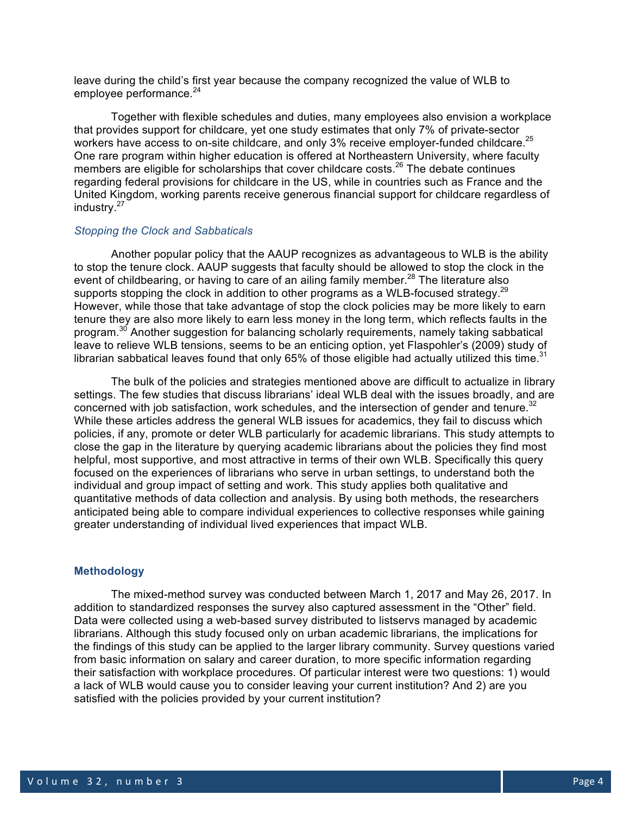leave during the child's first year because the company recognized the value of WLB to employee performance. $24$ 

Together with flexible schedules and duties, many employees also envision a workplace that provides support for childcare, yet one study estimates that only 7% of private-sector workers have access to on-site childcare, and only 3% receive employer-funded childcare.<sup>25</sup> One rare program within higher education is offered at Northeastern University, where faculty members are eligible for scholarships that cover childcare costs.<sup>26</sup> The debate continues regarding federal provisions for childcare in the US, while in countries such as France and the United Kingdom, working parents receive generous financial support for childcare regardless of industry.<sup>27</sup>

## *Stopping the Clock and Sabbaticals*

Another popular policy that the AAUP recognizes as advantageous to WLB is the ability to stop the tenure clock. AAUP suggests that faculty should be allowed to stop the clock in the event of childbearing, or having to care of an ailing family member.<sup>28</sup> The literature also supports stopping the clock in addition to other programs as a WLB-focused strategy.<sup>29</sup> However, while those that take advantage of stop the clock policies may be more likely to earn tenure they are also more likely to earn less money in the long term, which reflects faults in the program.30 Another suggestion for balancing scholarly requirements, namely taking sabbatical leave to relieve WLB tensions, seems to be an enticing option, yet Flaspohler's (2009) study of librarian sabbatical leaves found that only 65% of those eligible had actually utilized this time.<sup>31</sup>

The bulk of the policies and strategies mentioned above are difficult to actualize in library settings. The few studies that discuss librarians' ideal WLB deal with the issues broadly, and are concerned with job satisfaction, work schedules, and the intersection of gender and tenure.<sup>32</sup> While these articles address the general WLB issues for academics, they fail to discuss which policies, if any, promote or deter WLB particularly for academic librarians. This study attempts to close the gap in the literature by querying academic librarians about the policies they find most helpful, most supportive, and most attractive in terms of their own WLB. Specifically this query focused on the experiences of librarians who serve in urban settings, to understand both the individual and group impact of setting and work. This study applies both qualitative and quantitative methods of data collection and analysis. By using both methods, the researchers anticipated being able to compare individual experiences to collective responses while gaining greater understanding of individual lived experiences that impact WLB.

### **Methodology**

The mixed-method survey was conducted between March 1, 2017 and May 26, 2017. In addition to standardized responses the survey also captured assessment in the "Other" field. Data were collected using a web-based survey distributed to listservs managed by academic librarians. Although this study focused only on urban academic librarians, the implications for the findings of this study can be applied to the larger library community. Survey questions varied from basic information on salary and career duration, to more specific information regarding their satisfaction with workplace procedures. Of particular interest were two questions: 1) would a lack of WLB would cause you to consider leaving your current institution? And 2) are you satisfied with the policies provided by your current institution?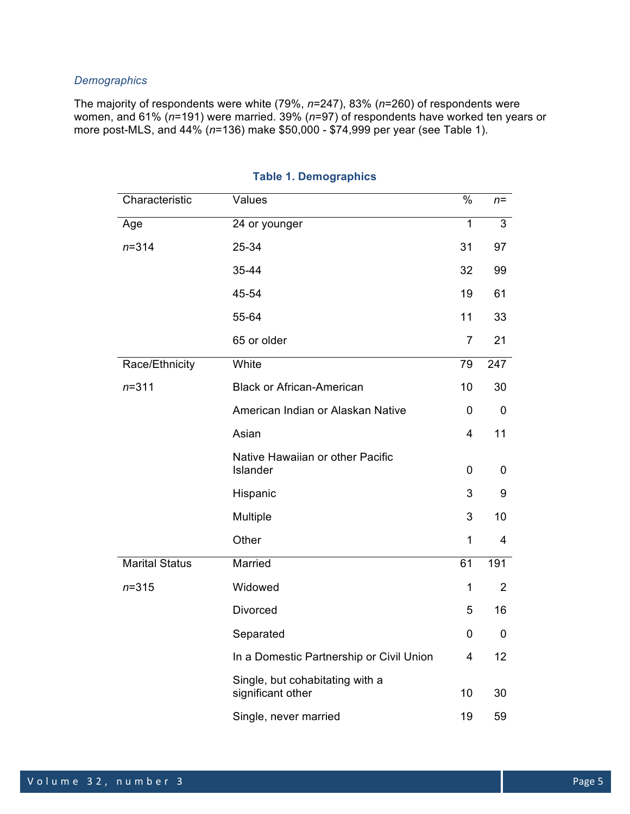## *Demographics*

The majority of respondents were white (79%, *n*=247), 83% (*n*=260) of respondents were women, and 61% (*n*=191) were married. 39% (*n*=97) of respondents have worked ten years or more post-MLS, and 44% (*n*=136) make \$50,000 - \$74,999 per year (see Table 1).

| Characteristic        | Values                                               | %              | $n=$           |
|-----------------------|------------------------------------------------------|----------------|----------------|
| Age                   | 24 or younger                                        | 1              | 3              |
| $n = 314$             | 25-34                                                | 31             | 97             |
|                       | 35-44                                                | 32             | 99             |
|                       | 45-54                                                | 19             | 61             |
|                       | 55-64                                                | 11             | 33             |
|                       | 65 or older                                          | $\overline{7}$ | 21             |
| Race/Ethnicity        | White                                                | 79             | 247            |
| $n = 311$             | <b>Black or African-American</b>                     | 10             | 30             |
|                       | American Indian or Alaskan Native                    | 0              | 0              |
|                       | Asian                                                | $\overline{4}$ | 11             |
|                       | Native Hawaiian or other Pacific<br>Islander         | $\mathbf 0$    | 0              |
|                       | Hispanic                                             | 3              | 9              |
|                       | Multiple                                             | 3              | 10             |
|                       | Other                                                | 1              | 4              |
| <b>Marital Status</b> | <b>Married</b>                                       | 61             | 191            |
| $n = 315$             | Widowed                                              | 1              | $\overline{2}$ |
|                       | <b>Divorced</b>                                      | 5              | 16             |
|                       | Separated                                            | 0              | 0              |
|                       | In a Domestic Partnership or Civil Union             | 4              | 12             |
|                       | Single, but cohabitating with a<br>significant other | 10             | 30             |
|                       | Single, never married                                | 19             | 59             |

### **Table 1. Demographics**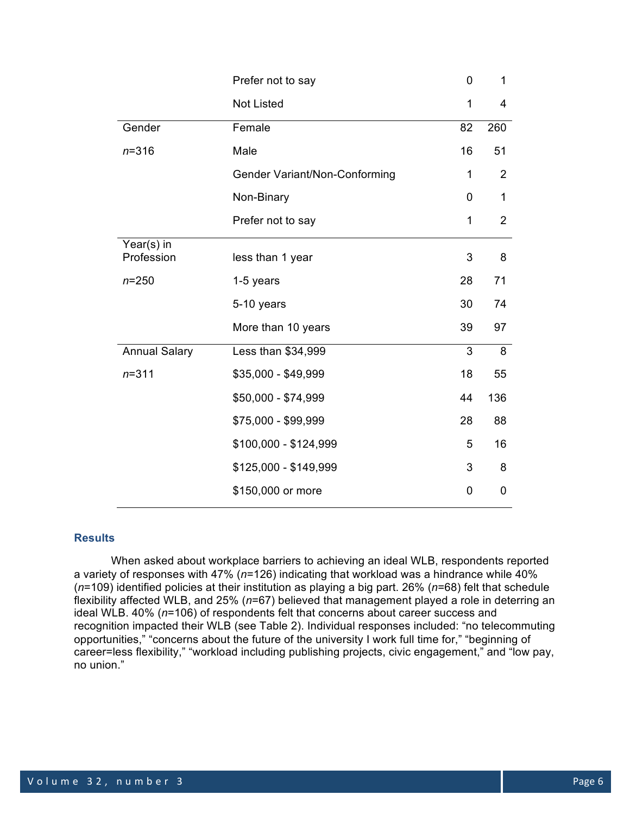|                          | Prefer not to say             | 0  | 1              |
|--------------------------|-------------------------------|----|----------------|
|                          | <b>Not Listed</b>             | 1  | $\overline{4}$ |
| Gender                   | Female                        | 82 | 260            |
| $n = 316$                | Male                          | 16 | 51             |
|                          | Gender Variant/Non-Conforming | 1  | $\overline{2}$ |
|                          | Non-Binary                    | 0  | 1              |
|                          | Prefer not to say             | 1  | $\overline{2}$ |
| Year(s) in<br>Profession | less than 1 year              | 3  | 8              |
| $n = 250$                | 1-5 years                     | 28 | 71             |
|                          | 5-10 years                    | 30 | 74             |
|                          | More than 10 years            | 39 | 97             |
| <b>Annual Salary</b>     | Less than \$34,999            | 3  | 8              |
| $n = 311$                | \$35,000 - \$49,999           | 18 | 55             |
|                          | \$50,000 - \$74,999           | 44 | 136            |
|                          | \$75,000 - \$99,999           | 28 | 88             |
|                          | \$100,000 - \$124,999         | 5  | 16             |
|                          | \$125,000 - \$149,999         | 3  | 8              |
|                          | \$150,000 or more             | 0  | 0              |

## **Results**

When asked about workplace barriers to achieving an ideal WLB, respondents reported a variety of responses with 47% (*n*=126) indicating that workload was a hindrance while 40% (*n*=109) identified policies at their institution as playing a big part. 26% (*n*=68) felt that schedule flexibility affected WLB, and 25% (*n*=67) believed that management played a role in deterring an ideal WLB. 40% (*n*=106) of respondents felt that concerns about career success and recognition impacted their WLB (see Table 2). Individual responses included: "no telecommuting opportunities," "concerns about the future of the university I work full time for," "beginning of career=less flexibility," "workload including publishing projects, civic engagement," and "low pay, no union."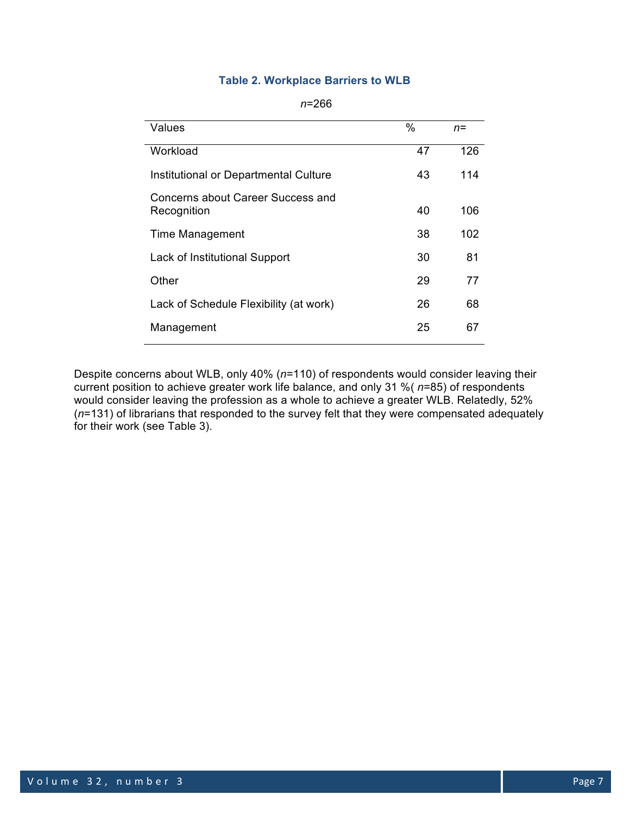## **Table 2. Workplace Barriers to WLB**

| Values                                 | %  | $n=$ |
|----------------------------------------|----|------|
| Workload                               | 47 | 126  |
| Institutional or Departmental Culture  | 43 | 114  |
| Concerns about Career Success and      |    |      |
| Recognition                            | 40 | 106  |
| Time Management                        | 38 | 102  |
| Lack of Institutional Support          | 30 | 81   |
| Other                                  | 29 | 77   |
| Lack of Schedule Flexibility (at work) | 26 | 68   |
| Management                             | 25 | 67   |

Despite concerns about WLB, only 40% (*n*=110) of respondents would consider leaving their current position to achieve greater work life balance, and only 31 %( *n*=85) of respondents would consider leaving the profession as a whole to achieve a greater WLB. Relatedly, 52% (*n*=131) of librarians that responded to the survey felt that they were compensated adequately for their work (see Table 3).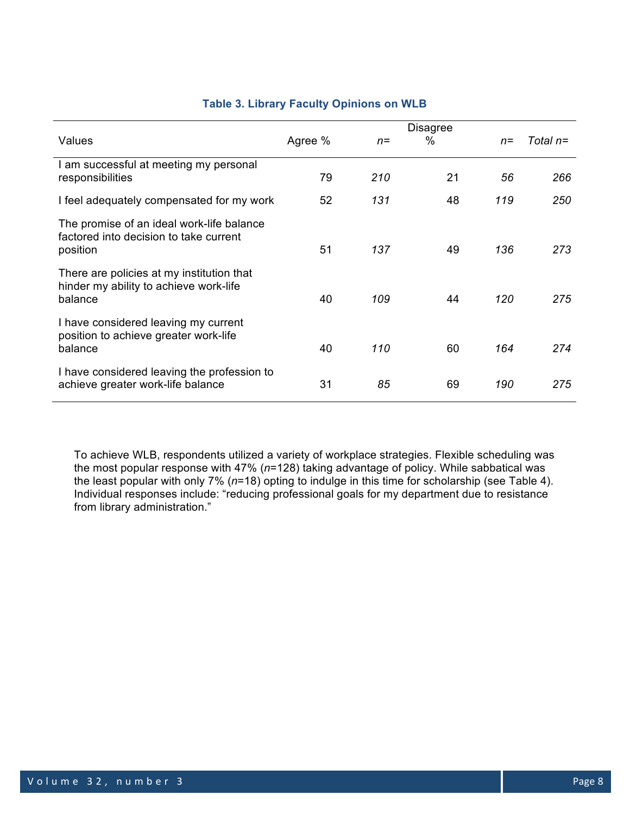|                                                                                                 | <b>Disagree</b> |       |      |       |            |
|-------------------------------------------------------------------------------------------------|-----------------|-------|------|-------|------------|
| Values                                                                                          | Agree %         | $n =$ | $\%$ | $n =$ | Total $n=$ |
| I am successful at meeting my personal<br>responsibilities                                      | 79              | 210   | 21   | 56    | 266        |
| I feel adequately compensated for my work                                                       | 52              | 131   | 48   | 119   | 250        |
| The promise of an ideal work-life balance<br>factored into decision to take current<br>position | 51              | 137   | 49   | 136   | 273        |
| There are policies at my institution that<br>hinder my ability to achieve work-life<br>balance  | 40              | 109   | 44   | 120   | 275        |
| I have considered leaving my current<br>position to achieve greater work-life<br>balance        | 40              | 110   | 60   | 164   | 274        |
| I have considered leaving the profession to<br>achieve greater work-life balance                | 31              | 85    | 69   | 190   | 275        |

## **Table 3. Library Faculty Opinions on WLB**

To achieve WLB, respondents utilized a variety of workplace strategies. Flexible scheduling was the most popular response with 47% (*n*=128) taking advantage of policy. While sabbatical was the least popular with only 7% (*n*=18) opting to indulge in this time for scholarship (see Table 4). Individual responses include: "reducing professional goals for my department due to resistance from library administration."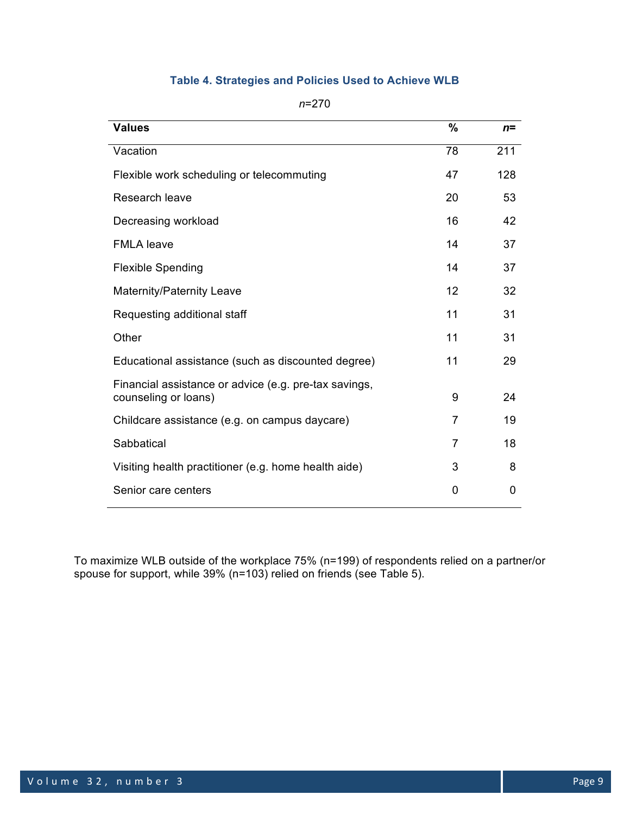| Table 4. Strategies and Policies Used to Achieve WLB |  |  |  |
|------------------------------------------------------|--|--|--|
|                                                      |  |  |  |

|--|

| <b>Values</b>                                                                 | $\frac{0}{0}$  | $n=$ |
|-------------------------------------------------------------------------------|----------------|------|
| Vacation                                                                      | 78             | 211  |
| Flexible work scheduling or telecommuting                                     | 47             | 128  |
| Research leave                                                                | 20             | 53   |
| Decreasing workload                                                           | 16             | 42   |
| <b>FMLA</b> leave                                                             | 14             | 37   |
| <b>Flexible Spending</b>                                                      | 14             | 37   |
| Maternity/Paternity Leave                                                     | 12             | 32   |
| Requesting additional staff                                                   | 11             | 31   |
| Other                                                                         | 11             | 31   |
| Educational assistance (such as discounted degree)                            | 11             | 29   |
| Financial assistance or advice (e.g. pre-tax savings,<br>counseling or loans) | 9              | 24   |
| Childcare assistance (e.g. on campus daycare)                                 | $\overline{7}$ | 19   |
| Sabbatical                                                                    | 7              | 18   |
| Visiting health practitioner (e.g. home health aide)                          | 3              | 8    |
| Senior care centers                                                           | 0              | 0    |

To maximize WLB outside of the workplace 75% (n=199) of respondents relied on a partner/or spouse for support, while 39% (n=103) relied on friends (see Table 5).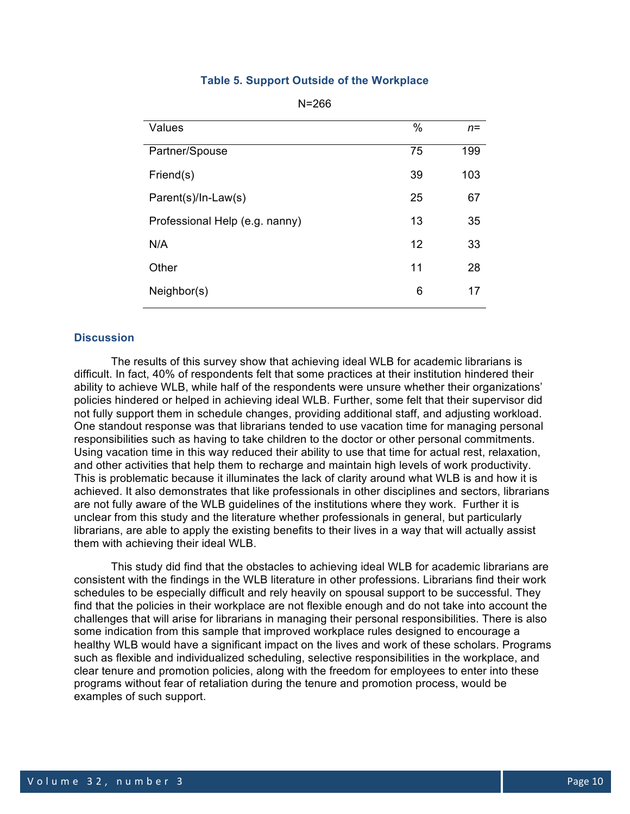| Values                         | %  | $n=$ |
|--------------------------------|----|------|
| Partner/Spouse                 | 75 | 199  |
| Friend(s)                      | 39 | 103  |
| Parent(s)/In-Law(s)            | 25 | 67   |
| Professional Help (e.g. nanny) | 13 | 35   |
| N/A                            | 12 | 33   |
| Other                          | 11 | 28   |
| Neighbor(s)                    | 6  | 17   |
|                                |    |      |

## **Table 5. Support Outside of the Workplace**

#### N=266

### **Discussion**

The results of this survey show that achieving ideal WLB for academic librarians is difficult. In fact, 40% of respondents felt that some practices at their institution hindered their ability to achieve WLB, while half of the respondents were unsure whether their organizations' policies hindered or helped in achieving ideal WLB. Further, some felt that their supervisor did not fully support them in schedule changes, providing additional staff, and adjusting workload. One standout response was that librarians tended to use vacation time for managing personal responsibilities such as having to take children to the doctor or other personal commitments. Using vacation time in this way reduced their ability to use that time for actual rest, relaxation, and other activities that help them to recharge and maintain high levels of work productivity. This is problematic because it illuminates the lack of clarity around what WLB is and how it is achieved. It also demonstrates that like professionals in other disciplines and sectors, librarians are not fully aware of the WLB guidelines of the institutions where they work. Further it is unclear from this study and the literature whether professionals in general, but particularly librarians, are able to apply the existing benefits to their lives in a way that will actually assist them with achieving their ideal WLB.

This study did find that the obstacles to achieving ideal WLB for academic librarians are consistent with the findings in the WLB literature in other professions. Librarians find their work schedules to be especially difficult and rely heavily on spousal support to be successful. They find that the policies in their workplace are not flexible enough and do not take into account the challenges that will arise for librarians in managing their personal responsibilities. There is also some indication from this sample that improved workplace rules designed to encourage a healthy WLB would have a significant impact on the lives and work of these scholars. Programs such as flexible and individualized scheduling, selective responsibilities in the workplace, and clear tenure and promotion policies, along with the freedom for employees to enter into these programs without fear of retaliation during the tenure and promotion process, would be examples of such support.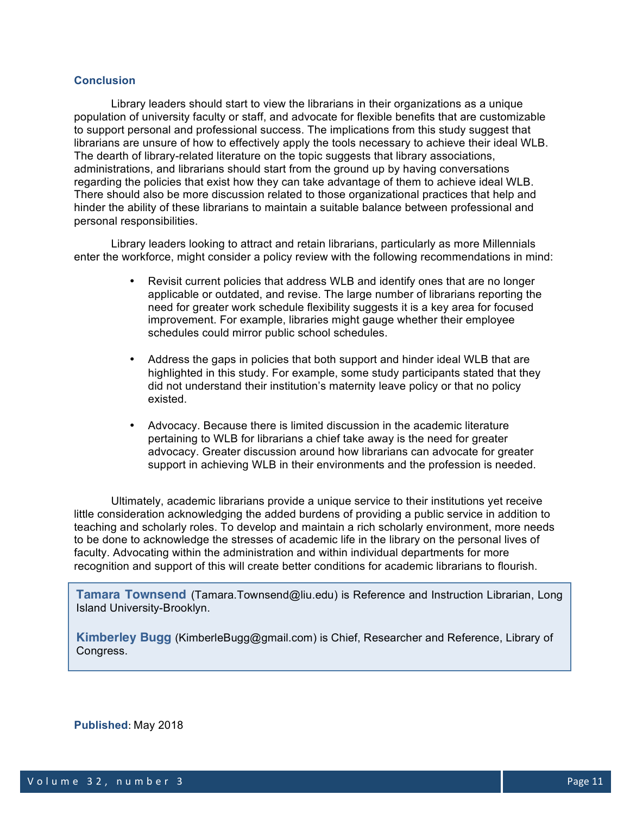#### **Conclusion**

Library leaders should start to view the librarians in their organizations as a unique population of university faculty or staff, and advocate for flexible benefits that are customizable to support personal and professional success. The implications from this study suggest that librarians are unsure of how to effectively apply the tools necessary to achieve their ideal WLB. The dearth of library-related literature on the topic suggests that library associations, administrations, and librarians should start from the ground up by having conversations regarding the policies that exist how they can take advantage of them to achieve ideal WLB. There should also be more discussion related to those organizational practices that help and hinder the ability of these librarians to maintain a suitable balance between professional and personal responsibilities.

Library leaders looking to attract and retain librarians, particularly as more Millennials enter the workforce, might consider a policy review with the following recommendations in mind:

- Revisit current policies that address WLB and identify ones that are no longer applicable or outdated, and revise. The large number of librarians reporting the need for greater work schedule flexibility suggests it is a key area for focused improvement. For example, libraries might gauge whether their employee schedules could mirror public school schedules.
- Address the gaps in policies that both support and hinder ideal WLB that are highlighted in this study. For example, some study participants stated that they did not understand their institution's maternity leave policy or that no policy existed.
- Advocacy. Because there is limited discussion in the academic literature pertaining to WLB for librarians a chief take away is the need for greater advocacy. Greater discussion around how librarians can advocate for greater support in achieving WLB in their environments and the profession is needed.

Ultimately, academic librarians provide a unique service to their institutions yet receive little consideration acknowledging the added burdens of providing a public service in addition to teaching and scholarly roles. To develop and maintain a rich scholarly environment, more needs to be done to acknowledge the stresses of academic life in the library on the personal lives of faculty. Advocating within the administration and within individual departments for more recognition and support of this will create better conditions for academic librarians to flourish.

**Tamara Townsend** (Tamara.Townsend@liu.edu) is Reference and Instruction Librarian, Long Island University-Brooklyn.

**Kimberley Bugg** (KimberleBugg@gmail.com) is Chief, Researcher and Reference, Library of Congress.

**Published:** May 2018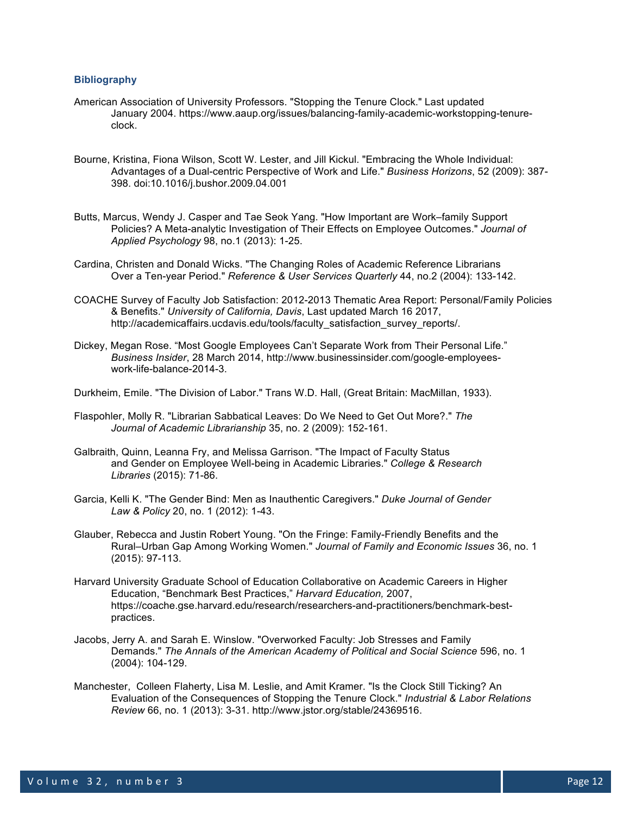#### **Bibliography**

- American Association of University Professors. "Stopping the Tenure Clock." Last updated January 2004. https://www.aaup.org/issues/balancing-family-academic-workstopping-tenureclock.
- Bourne, Kristina, Fiona Wilson, Scott W. Lester, and Jill Kickul. "Embracing the Whole Individual: Advantages of a Dual-centric Perspective of Work and Life." *Business Horizons*, 52 (2009): 387- 398. doi:10.1016/j.bushor.2009.04.001
- Butts, Marcus, Wendy J. Casper and Tae Seok Yang. "How Important are Work–family Support Policies? A Meta-analytic Investigation of Their Effects on Employee Outcomes." *Journal of Applied Psychology* 98, no.1 (2013): 1-25.
- Cardina, Christen and Donald Wicks. "The Changing Roles of Academic Reference Librarians Over a Ten-year Period." *Reference & User Services Quarterly* 44, no.2 (2004): 133-142.
- COACHE Survey of Faculty Job Satisfaction: 2012-2013 Thematic Area Report: Personal/Family Policies & Benefits." *University of California, Davis*, Last updated March 16 2017, http://academicaffairs.ucdavis.edu/tools/faculty\_satisfaction\_survey\_reports/.
- Dickey, Megan Rose. "Most Google Employees Can't Separate Work from Their Personal Life." *Business Insider*, 28 March 2014, http://www.businessinsider.com/google-employeeswork-life-balance-2014-3.
- Durkheim, Emile. "The Division of Labor." Trans W.D. Hall, (Great Britain: MacMillan, 1933).
- Flaspohler, Molly R. "Librarian Sabbatical Leaves: Do We Need to Get Out More?." *The Journal of Academic Librarianship* 35, no. 2 (2009): 152-161.
- Galbraith, Quinn, Leanna Fry, and Melissa Garrison. "The Impact of Faculty Status and Gender on Employee Well-being in Academic Libraries." *College & Research Libraries* (2015): 71-86.
- Garcia, Kelli K. "The Gender Bind: Men as Inauthentic Caregivers." *Duke Journal of Gender Law & Policy* 20, no. 1 (2012): 1-43.
- Glauber, Rebecca and Justin Robert Young. "On the Fringe: Family-Friendly Benefits and the Rural–Urban Gap Among Working Women." *Journal of Family and Economic Issues* 36, no. 1 (2015): 97-113.
- Harvard University Graduate School of Education Collaborative on Academic Careers in Higher Education, "Benchmark Best Practices," *Harvard Education,* 2007, https://coache.gse.harvard.edu/research/researchers-and-practitioners/benchmark-bestpractices.
- Jacobs, Jerry A. and Sarah E. Winslow. "Overworked Faculty: Job Stresses and Family Demands." *The Annals of the American Academy of Political and Social Science* 596, no. 1 (2004): 104-129.
- Manchester, Colleen Flaherty, Lisa M. Leslie, and Amit Kramer. "Is the Clock Still Ticking? An Evaluation of the Consequences of Stopping the Tenure Clock." *Industrial & Labor Relations Review* 66, no. 1 (2013): 3-31. http://www.jstor.org/stable/24369516.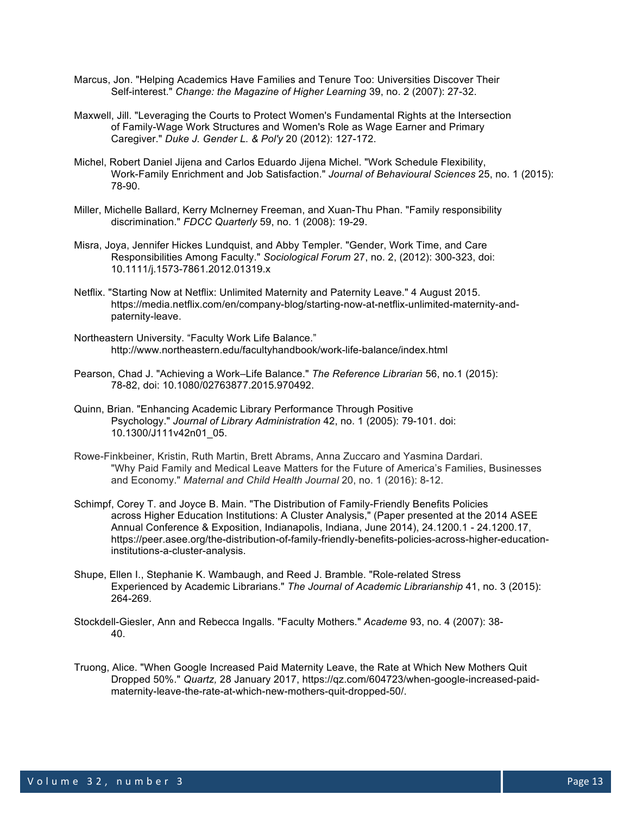- Marcus, Jon. "Helping Academics Have Families and Tenure Too: Universities Discover Their Self-interest." *Change: the Magazine of Higher Learning* 39, no. 2 (2007): 27-32.
- Maxwell, Jill. "Leveraging the Courts to Protect Women's Fundamental Rights at the Intersection of Family-Wage Work Structures and Women's Role as Wage Earner and Primary Caregiver." *Duke J. Gender L. & Pol'y* 20 (2012): 127-172.
- Michel, Robert Daniel Jijena and Carlos Eduardo Jijena Michel. "Work Schedule Flexibility, Work-Family Enrichment and Job Satisfaction." *Journal of Behavioural Sciences* 25, no. 1 (2015): 78-90.
- Miller, Michelle Ballard, Kerry McInerney Freeman, and Xuan-Thu Phan. "Family responsibility discrimination." *FDCC Quarterly* 59, no. 1 (2008): 19-29.
- Misra, Joya, Jennifer Hickes Lundquist, and Abby Templer. "Gender, Work Time, and Care Responsibilities Among Faculty." *Sociological Forum* 27, no. 2, (2012): 300-323, doi: 10.1111/j.1573-7861.2012.01319.x
- Netflix. "Starting Now at Netflix: Unlimited Maternity and Paternity Leave." 4 August 2015. https://media.netflix.com/en/company-blog/starting-now-at-netflix-unlimited-maternity-andpaternity-leave.
- Northeastern University. "Faculty Work Life Balance." http://www.northeastern.edu/facultyhandbook/work-life-balance/index.html
- Pearson, Chad J. "Achieving a Work–Life Balance." *The Reference Librarian* 56, no.1 (2015): 78-82, doi: 10.1080/02763877.2015.970492.
- Quinn, Brian. "Enhancing Academic Library Performance Through Positive Psychology." *Journal of Library Administration* 42, no. 1 (2005): 79-101. doi: 10.1300/J111v42n01\_05.
- Rowe-Finkbeiner, Kristin, Ruth Martin, Brett Abrams, Anna Zuccaro and Yasmina Dardari. "Why Paid Family and Medical Leave Matters for the Future of America's Families, Businesses and Economy." *Maternal and Child Health Journal* 20, no. 1 (2016): 8-12.
- Schimpf, Corey T. and Joyce B. Main. "The Distribution of Family-Friendly Benefits Policies across Higher Education Institutions: A Cluster Analysis," (Paper presented at the 2014 ASEE Annual Conference & Exposition, Indianapolis, Indiana, June 2014), 24.1200.1 - 24.1200.17, https://peer.asee.org/the-distribution-of-family-friendly-benefits-policies-across-higher-educationinstitutions-a-cluster-analysis.
- Shupe, Ellen I., Stephanie K. Wambaugh, and Reed J. Bramble. "Role-related Stress Experienced by Academic Librarians." *The Journal of Academic Librarianship* 41, no. 3 (2015): 264-269.
- Stockdell-Giesler, Ann and Rebecca Ingalls. "Faculty Mothers." *Academe* 93, no. 4 (2007): 38- 40.
- Truong, Alice. "When Google Increased Paid Maternity Leave, the Rate at Which New Mothers Quit Dropped 50%." *Quartz,* 28 January 2017, https://qz.com/604723/when-google-increased-paidmaternity-leave-the-rate-at-which-new-mothers-quit-dropped-50/.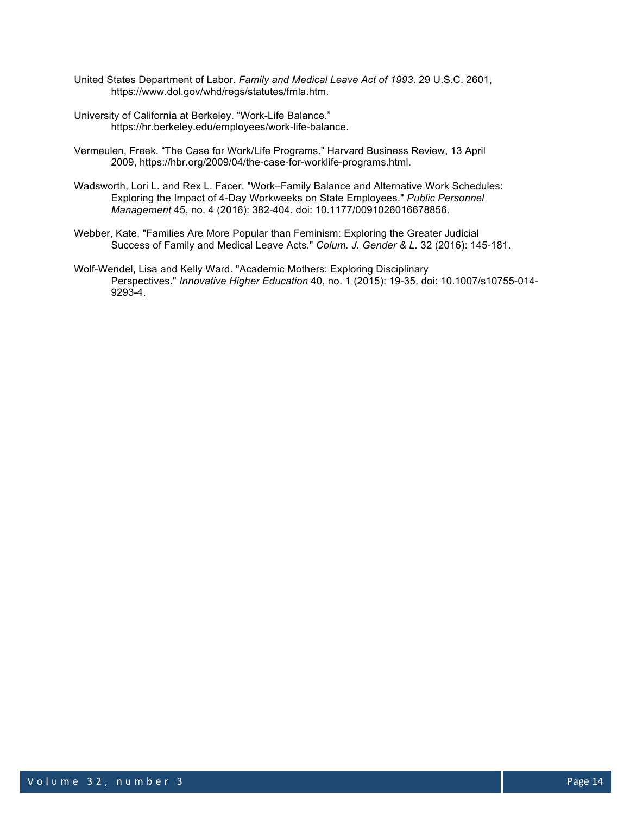- United States Department of Labor. *Family and Medical Leave Act of 1993*. 29 U.S.C. 2601, https://www.dol.gov/whd/regs/statutes/fmla.htm.
- University of California at Berkeley. "Work-Life Balance." https://hr.berkeley.edu/employees/work-life-balance.
- Vermeulen, Freek. "The Case for Work/Life Programs." Harvard Business Review, 13 April 2009, https://hbr.org/2009/04/the-case-for-worklife-programs.html.
- Wadsworth, Lori L. and Rex L. Facer. "Work–Family Balance and Alternative Work Schedules: Exploring the Impact of 4-Day Workweeks on State Employees." *Public Personnel Management* 45, no. 4 (2016): 382-404. doi: 10.1177/0091026016678856.
- Webber, Kate. "Families Are More Popular than Feminism: Exploring the Greater Judicial Success of Family and Medical Leave Acts." *Colum. J. Gender & L.* 32 (2016): 145-181.
- Wolf-Wendel, Lisa and Kelly Ward. "Academic Mothers: Exploring Disciplinary Perspectives." *Innovative Higher Education* 40, no. 1 (2015): 19-35. doi: 10.1007/s10755-014- 9293-4.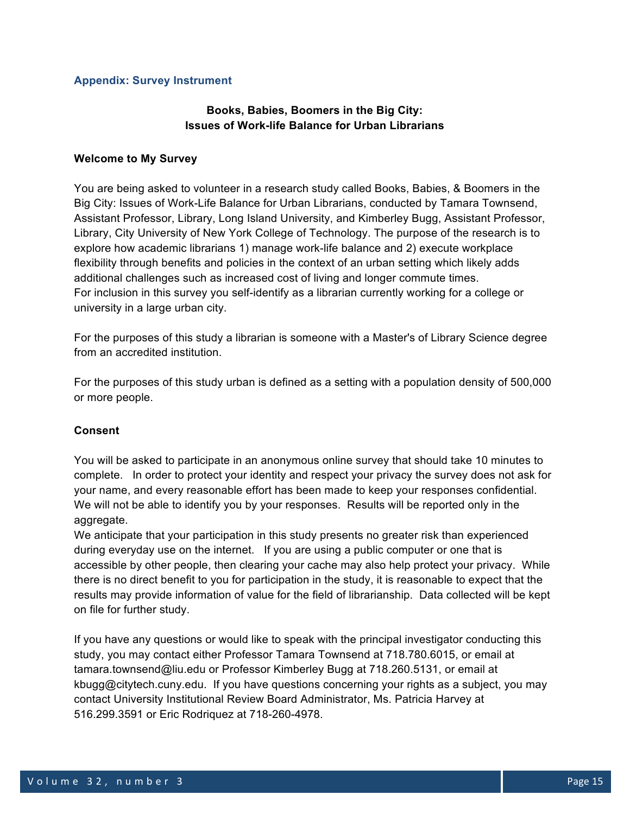## **Appendix: Survey Instrument**

## **Books, Babies, Boomers in the Big City: Issues of Work-life Balance for Urban Librarians**

### **Welcome to My Survey**

You are being asked to volunteer in a research study called Books, Babies, & Boomers in the Big City: Issues of Work-Life Balance for Urban Librarians, conducted by Tamara Townsend, Assistant Professor, Library, Long Island University, and Kimberley Bugg, Assistant Professor, Library, City University of New York College of Technology. The purpose of the research is to explore how academic librarians 1) manage work-life balance and 2) execute workplace flexibility through benefits and policies in the context of an urban setting which likely adds additional challenges such as increased cost of living and longer commute times. For inclusion in this survey you self-identify as a librarian currently working for a college or university in a large urban city.

For the purposes of this study a librarian is someone with a Master's of Library Science degree from an accredited institution.

For the purposes of this study urban is defined as a setting with a population density of 500,000 or more people.

## **Consent**

You will be asked to participate in an anonymous online survey that should take 10 minutes to complete. In order to protect your identity and respect your privacy the survey does not ask for your name, and every reasonable effort has been made to keep your responses confidential. We will not be able to identify you by your responses. Results will be reported only in the aggregate.

We anticipate that your participation in this study presents no greater risk than experienced during everyday use on the internet. If you are using a public computer or one that is accessible by other people, then clearing your cache may also help protect your privacy. While there is no direct benefit to you for participation in the study, it is reasonable to expect that the results may provide information of value for the field of librarianship. Data collected will be kept on file for further study.

If you have any questions or would like to speak with the principal investigator conducting this study, you may contact either Professor Tamara Townsend at 718.780.6015, or email at tamara.townsend@liu.edu or Professor Kimberley Bugg at 718.260.5131, or email at kbugg@citytech.cuny.edu. If you have questions concerning your rights as a subject, you may contact University Institutional Review Board Administrator, Ms. Patricia Harvey at 516.299.3591 or Eric Rodriquez at 718-260-4978.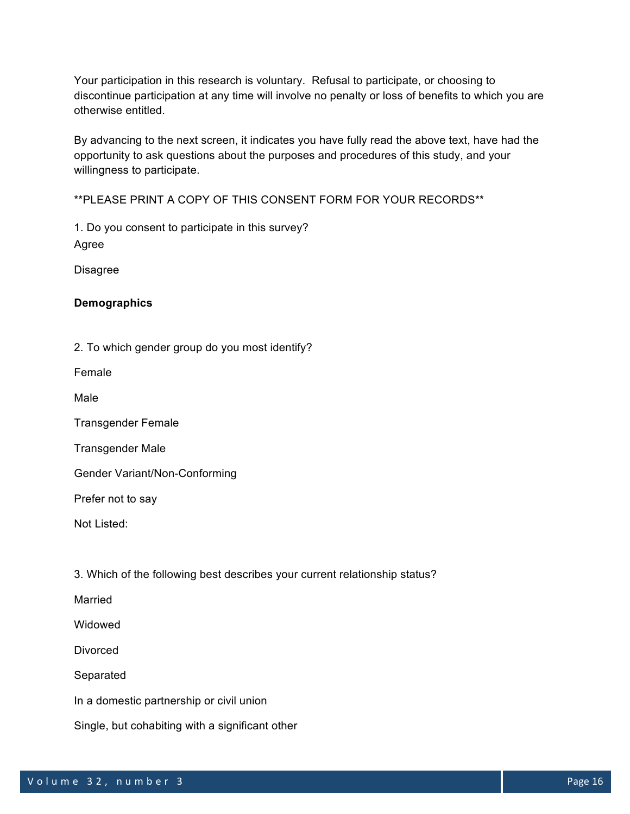Your participation in this research is voluntary. Refusal to participate, or choosing to discontinue participation at any time will involve no penalty or loss of benefits to which you are otherwise entitled.

By advancing to the next screen, it indicates you have fully read the above text, have had the opportunity to ask questions about the purposes and procedures of this study, and your willingness to participate.

\*\*PLEASE PRINT A COPY OF THIS CONSENT FORM FOR YOUR RECORDS\*\*

1. Do you consent to participate in this survey? Agree

Disagree

## **Demographics**

2. To which gender group do you most identify?

Female

Male

Transgender Female

Transgender Male

Gender Variant/Non-Conforming

Prefer not to say

Not Listed:

3. Which of the following best describes your current relationship status?

Married

Widowed

Divorced

Separated

In a domestic partnership or civil union

Single, but cohabiting with a significant other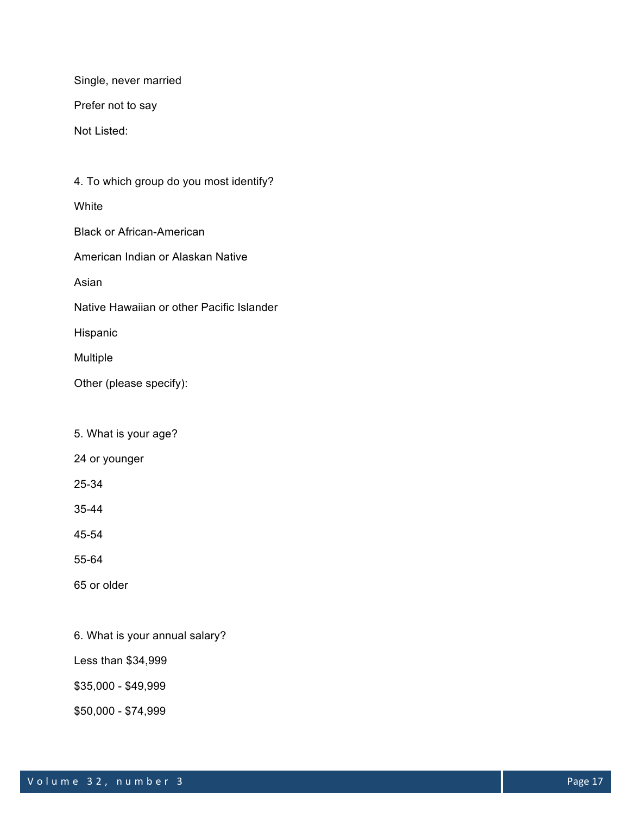Single, never married

Prefer not to say

Not Listed:

4. To which group do you most identify? **White** Black or African-American American Indian or Alaskan Native Asian Native Hawaiian or other Pacific Islander Hispanic Multiple Other (please specify):

5. What is your age?

24 or younger

25-34

35-44

45-54

55-64

65 or older

6. What is your annual salary?

Less than \$34,999

\$35,000 - \$49,999

\$50,000 - \$74,999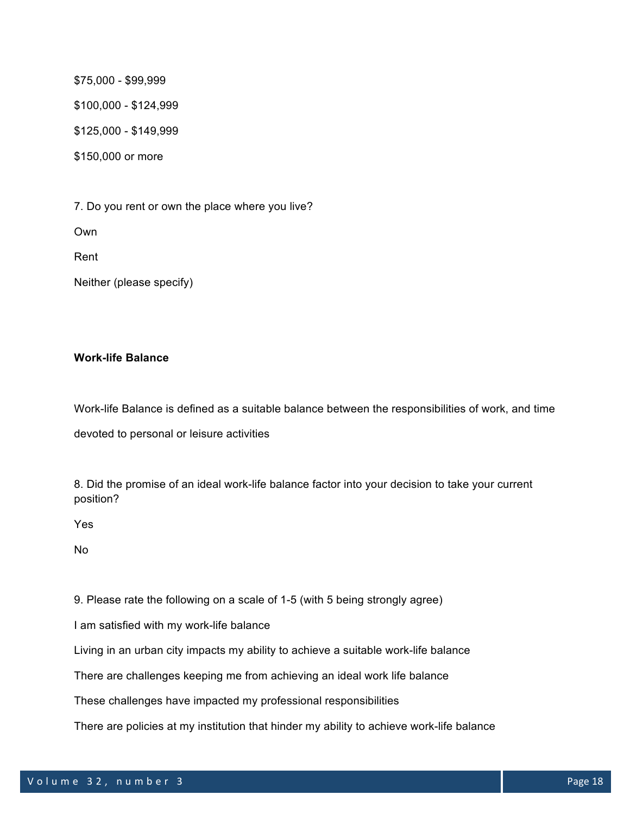\$75,000 - \$99,999

\$100,000 - \$124,999

\$125,000 - \$149,999

\$150,000 or more

7. Do you rent or own the place where you live?

Own

Rent

Neither (please specify)

## **Work-life Balance**

Work-life Balance is defined as a suitable balance between the responsibilities of work, and time devoted to personal or leisure activities

8. Did the promise of an ideal work-life balance factor into your decision to take your current position?

Yes

No

9. Please rate the following on a scale of 1-5 (with 5 being strongly agree)

I am satisfied with my work-life balance

Living in an urban city impacts my ability to achieve a suitable work-life balance

There are challenges keeping me from achieving an ideal work life balance

These challenges have impacted my professional responsibilities

There are policies at my institution that hinder my ability to achieve work-life balance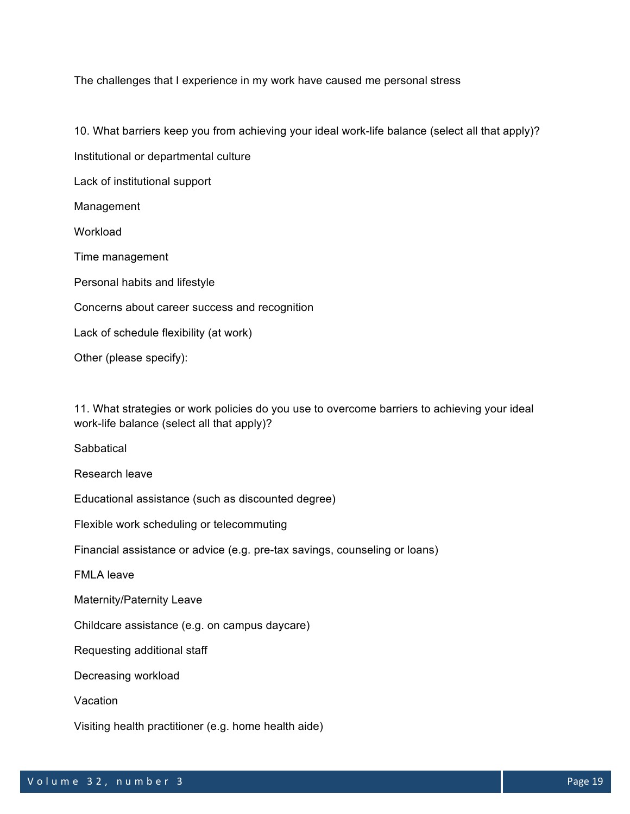The challenges that I experience in my work have caused me personal stress

10. What barriers keep you from achieving your ideal work-life balance (select all that apply)?

Institutional or departmental culture

Lack of institutional support

Management

**Workload** 

Time management

Personal habits and lifestyle

Concerns about career success and recognition

Lack of schedule flexibility (at work)

Other (please specify):

11. What strategies or work policies do you use to overcome barriers to achieving your ideal work-life balance (select all that apply)?

**Sabbatical** 

Research leave

Educational assistance (such as discounted degree)

Flexible work scheduling or telecommuting

Financial assistance or advice (e.g. pre-tax savings, counseling or loans)

FMLA leave

Maternity/Paternity Leave

Childcare assistance (e.g. on campus daycare)

Requesting additional staff

Decreasing workload

Vacation

Visiting health practitioner (e.g. home health aide)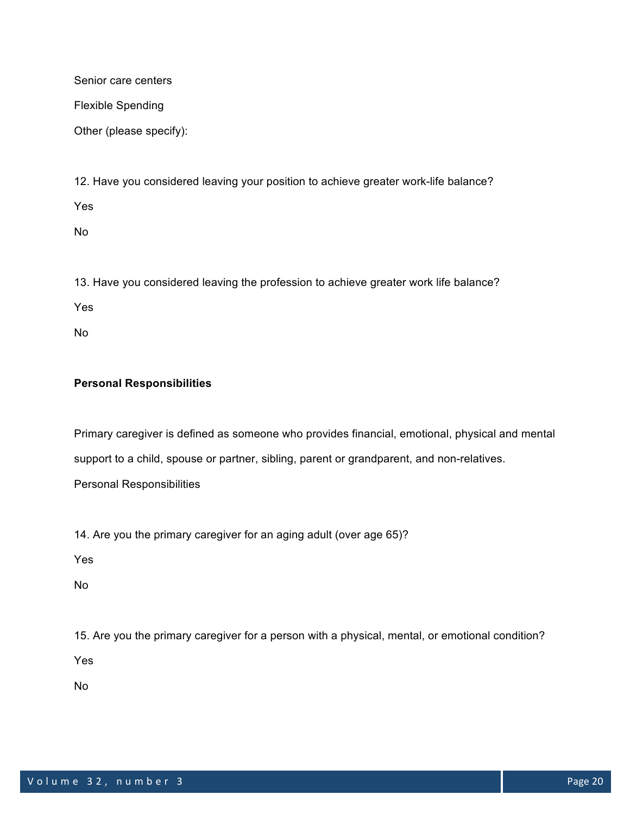Senior care centers

Flexible Spending

Other (please specify):

12. Have you considered leaving your position to achieve greater work-life balance?

Yes

No

13. Have you considered leaving the profession to achieve greater work life balance?

Yes

No

## **Personal Responsibilities**

Primary caregiver is defined as someone who provides financial, emotional, physical and mental

support to a child, spouse or partner, sibling, parent or grandparent, and non-relatives.

Personal Responsibilities

14. Are you the primary caregiver for an aging adult (over age 65)?

Yes

No

15. Are you the primary caregiver for a person with a physical, mental, or emotional condition?

Yes

No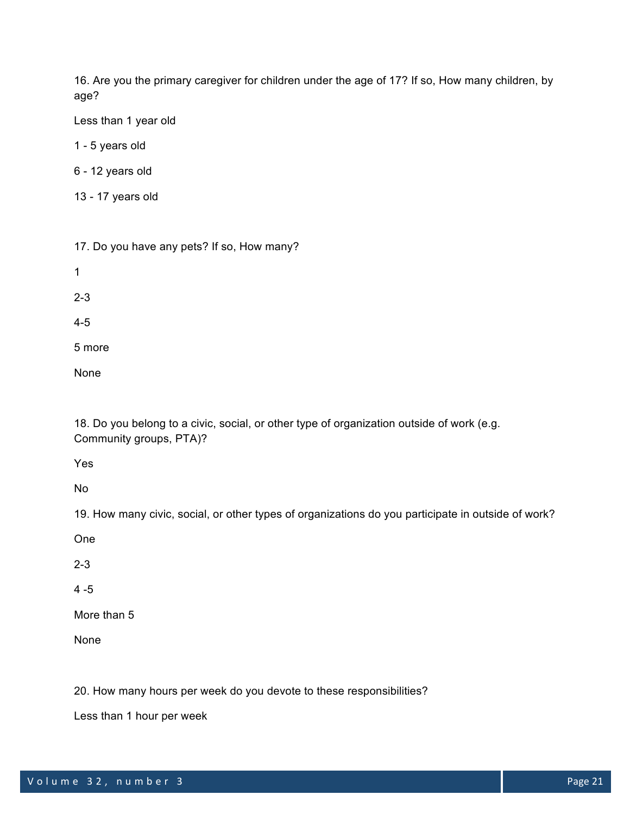16. Are you the primary caregiver for children under the age of 17? If so, How many children, by age?

Less than 1 year old

1 - 5 years old

6 - 12 years old

13 - 17 years old

| 17. Do you have any pets? If so, How many? |  |  |  |  |  |  |  |  |  |
|--------------------------------------------|--|--|--|--|--|--|--|--|--|
|--------------------------------------------|--|--|--|--|--|--|--|--|--|

1

2-3

4-5

5 more

None

18. Do you belong to a civic, social, or other type of organization outside of work (e.g. Community groups, PTA)?

Yes

No

19. How many civic, social, or other types of organizations do you participate in outside of work?

One

2-3

4 -5

More than 5

None

20. How many hours per week do you devote to these responsibilities?

Less than 1 hour per week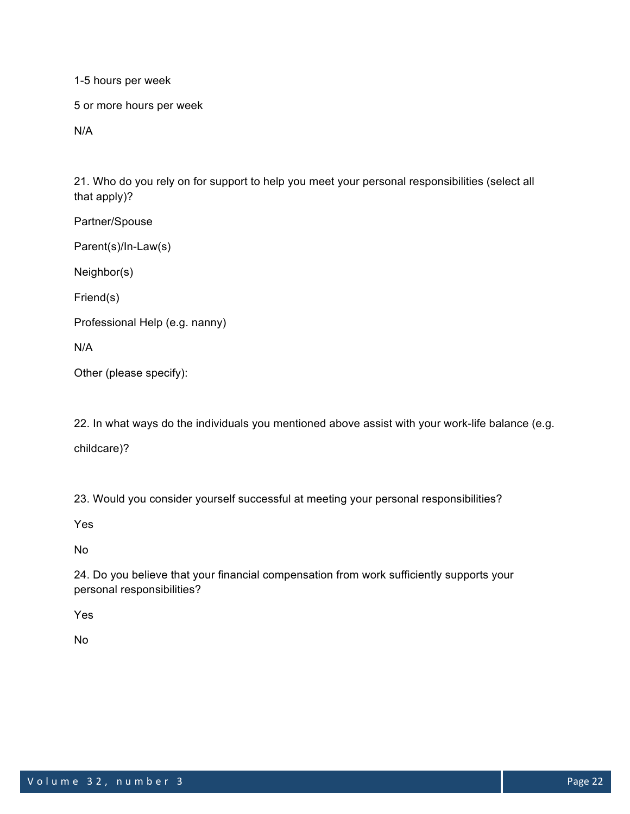1-5 hours per week

5 or more hours per week

N/A

21. Who do you rely on for support to help you meet your personal responsibilities (select all that apply)?

Partner/Spouse

Parent(s)/In-Law(s)

Neighbor(s)

Friend(s)

Professional Help (e.g. nanny)

N/A

Other (please specify):

22. In what ways do the individuals you mentioned above assist with your work-life balance (e.g.

childcare)?

23. Would you consider yourself successful at meeting your personal responsibilities?

Yes

No

24. Do you believe that your financial compensation from work sufficiently supports your personal responsibilities?

Yes

No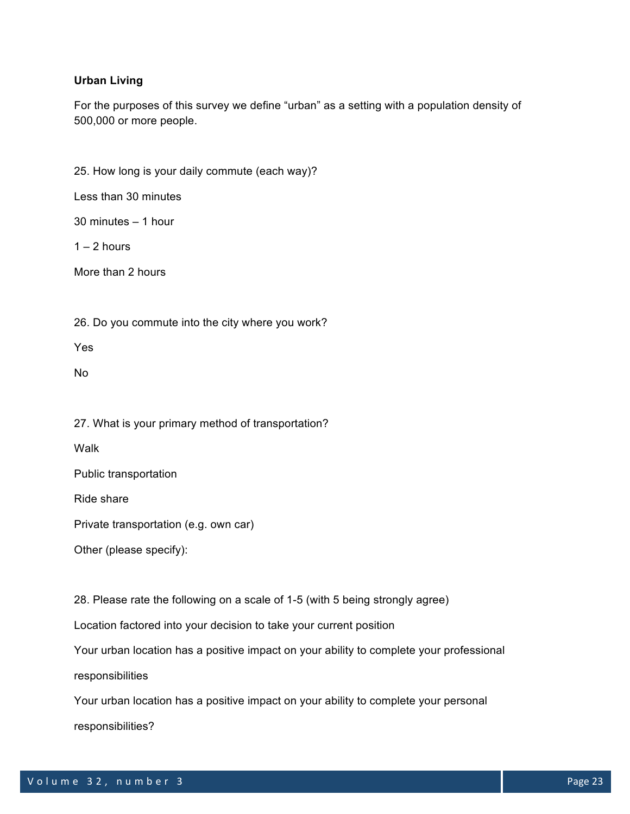## **Urban Living**

For the purposes of this survey we define "urban" as a setting with a population density of 500,000 or more people.

25. How long is your daily commute (each way)?

Less than 30 minutes

30 minutes – 1 hour

 $1 - 2$  hours

More than 2 hours

26. Do you commute into the city where you work?

Yes

No

27. What is your primary method of transportation?

Walk

Public transportation

Ride share

Private transportation (e.g. own car)

Other (please specify):

28. Please rate the following on a scale of 1-5 (with 5 being strongly agree)

Location factored into your decision to take your current position

Your urban location has a positive impact on your ability to complete your professional

responsibilities

Your urban location has a positive impact on your ability to complete your personal responsibilities?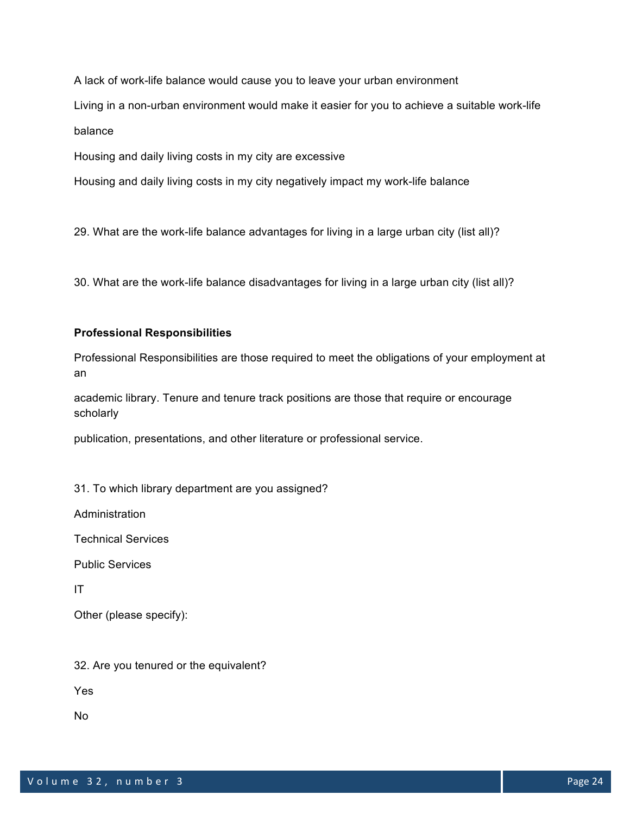A lack of work-life balance would cause you to leave your urban environment

Living in a non-urban environment would make it easier for you to achieve a suitable work-life balance

Housing and daily living costs in my city are excessive

Housing and daily living costs in my city negatively impact my work-life balance

29. What are the work-life balance advantages for living in a large urban city (list all)?

30. What are the work-life balance disadvantages for living in a large urban city (list all)?

## **Professional Responsibilities**

Professional Responsibilities are those required to meet the obligations of your employment at an

academic library. Tenure and tenure track positions are those that require or encourage scholarly

publication, presentations, and other literature or professional service.

## 31. To which library department are you assigned?

Administration

Technical Services

Public Services

IT

Other (please specify):

32. Are you tenured or the equivalent?

Yes

No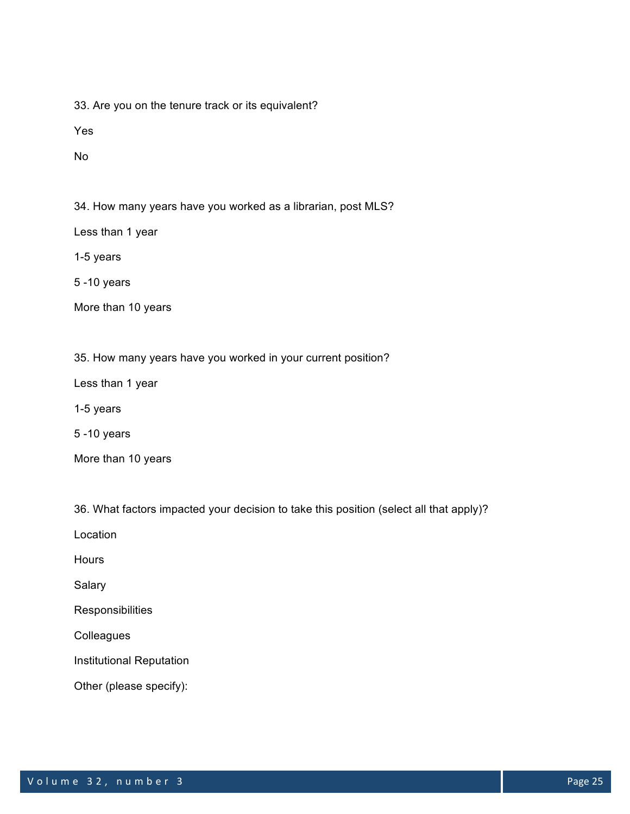33. Are you on the tenure track or its equivalent?

Yes

No

34. How many years have you worked as a librarian, post MLS?

Less than 1 year

1-5 years

5 -10 years

More than 10 years

35. How many years have you worked in your current position?

Less than 1 year

1-5 years

5 -10 years

More than 10 years

36. What factors impacted your decision to take this position (select all that apply)?

Location

**Hours** 

Salary

**Responsibilities** 

**Colleagues** 

Institutional Reputation

Other (please specify):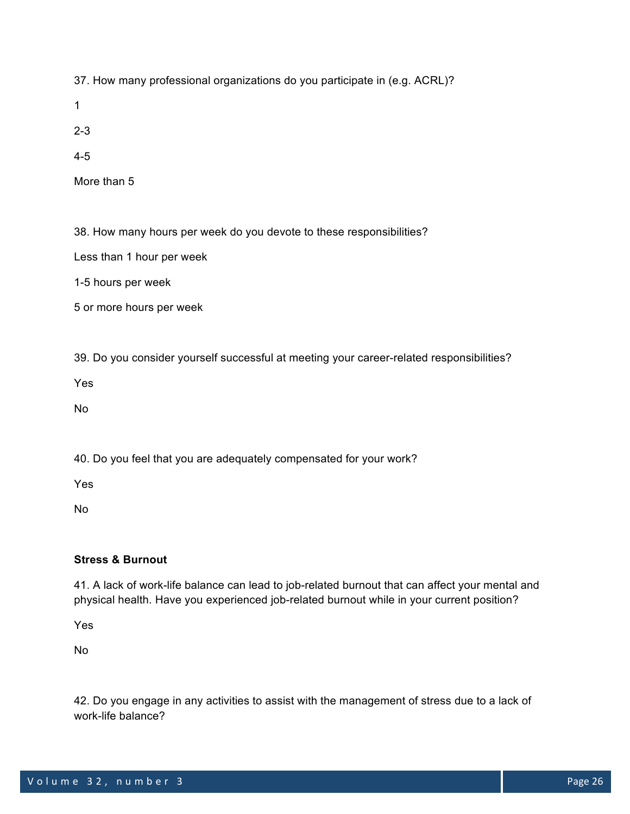37. How many professional organizations do you participate in (e.g. ACRL)?

1

2-3

4-5

More than 5

38. How many hours per week do you devote to these responsibilities?

Less than 1 hour per week

1-5 hours per week

5 or more hours per week

39. Do you consider yourself successful at meeting your career-related responsibilities?

Yes

No

40. Do you feel that you are adequately compensated for your work?

Yes

No

## **Stress & Burnout**

41. A lack of work-life balance can lead to job-related burnout that can affect your mental and physical health. Have you experienced job-related burnout while in your current position?

Yes

No

42. Do you engage in any activities to assist with the management of stress due to a lack of work-life balance?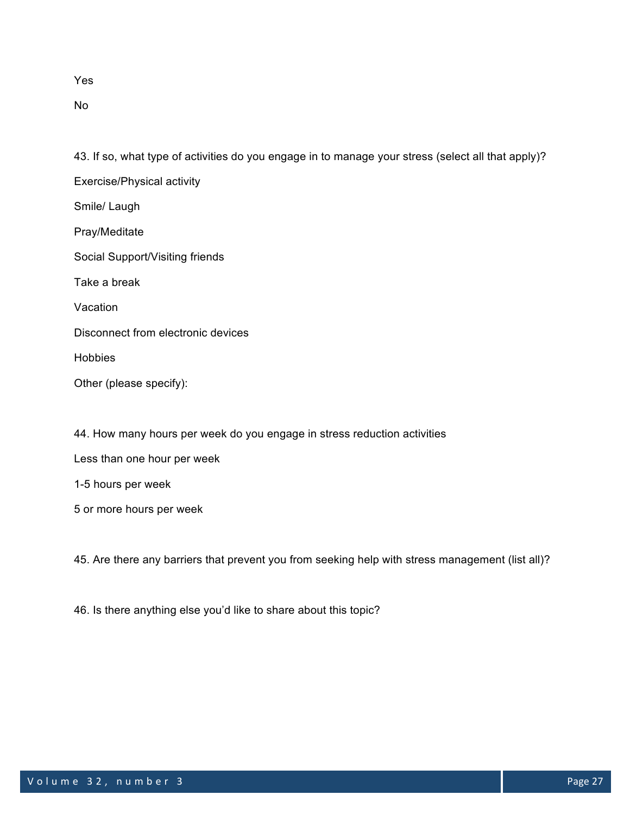Yes

No

43. If so, what type of activities do you engage in to manage your stress (select all that apply)? Exercise/Physical activity Smile/ Laugh Pray/Meditate Social Support/Visiting friends Take a break Vacation Disconnect from electronic devices Hobbies Other (please specify): 44. How many hours per week do you engage in stress reduction activities Less than one hour per week 1-5 hours per week 5 or more hours per week

45. Are there any barriers that prevent you from seeking help with stress management (list all)?

46. Is there anything else you'd like to share about this topic?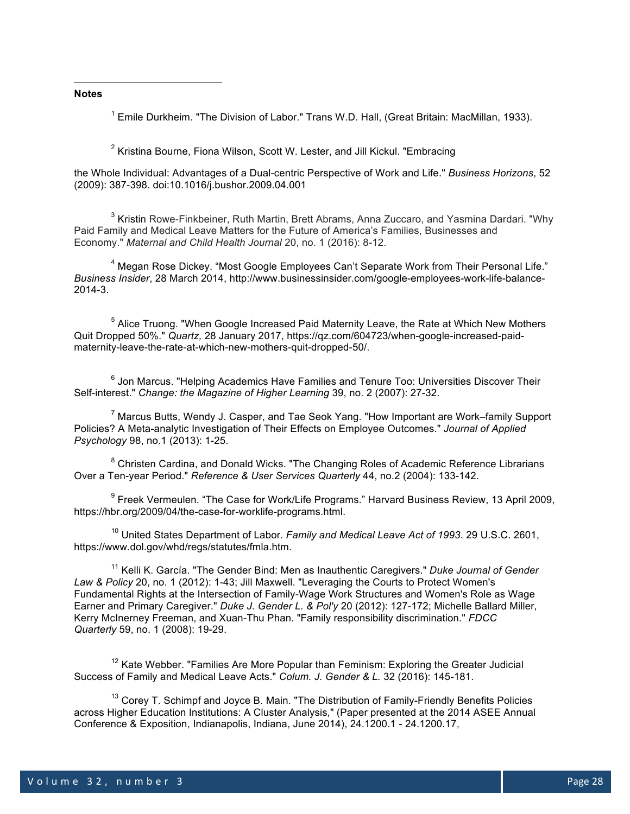#### **Notes**

 

 $1$  Emile Durkheim. "The Division of Labor." Trans W.D. Hall, (Great Britain: MacMillan, 1933).

 $2$  Kristina Bourne, Fiona Wilson, Scott W. Lester, and Jill Kickul. "Embracing

the Whole Individual: Advantages of a Dual-centric Perspective of Work and Life." *Business Horizons*, 52 (2009): 387-398. doi:10.1016/j.bushor.2009.04.001

<sup>3</sup> Kristin Rowe-Finkbeiner, Ruth Martin, Brett Abrams, Anna Zuccaro, and Yasmina Dardari. "Why Paid Family and Medical Leave Matters for the Future of America's Families, Businesses and Economy." *Maternal and Child Health Journal* 20, no. 1 (2016): 8-12.

<sup>4</sup> Megan Rose Dickey. "Most Google Employees Can't Separate Work from Their Personal Life." *Business Insider*, 28 March 2014, http://www.businessinsider.com/google-employees-work-life-balance-2014-3.

<sup>5</sup> Alice Truong. "When Google Increased Paid Maternity Leave, the Rate at Which New Mothers Quit Dropped 50%." *Quartz,* 28 January 2017, https://qz.com/604723/when-google-increased-paidmaternity-leave-the-rate-at-which-new-mothers-quit-dropped-50/.

 $6$  Jon Marcus. "Helping Academics Have Families and Tenure Too: Universities Discover Their Self-interest." *Change: the Magazine of Higher Learning* 39, no. 2 (2007): 27-32.

 $7$  Marcus Butts, Wendy J. Casper, and Tae Seok Yang. "How Important are Work–family Support Policies? A Meta-analytic Investigation of Their Effects on Employee Outcomes." *Journal of Applied Psychology* 98, no.1 (2013): 1-25.

<sup>8</sup> Christen Cardina, and Donald Wicks. "The Changing Roles of Academic Reference Librarians Over a Ten-year Period." *Reference & User Services Quarterly* 44, no.2 (2004): 133-142.

<sup>9</sup> Freek Vermeulen. "The Case for Work/Life Programs." Harvard Business Review, 13 April 2009, https://hbr.org/2009/04/the-case-for-worklife-programs.html.

<sup>10</sup> United States Department of Labor. *Family and Medical Leave Act of 1993*. 29 U.S.C. 2601, https://www.dol.gov/whd/regs/statutes/fmla.htm.

<sup>11</sup> Kelli K. García. "The Gender Bind: Men as Inauthentic Caregivers." *Duke Journal of Gender Law & Policy* 20, no. 1 (2012): 1-43; Jill Maxwell. "Leveraging the Courts to Protect Women's Fundamental Rights at the Intersection of Family-Wage Work Structures and Women's Role as Wage Earner and Primary Caregiver." *Duke J. Gender L. & Pol'y* 20 (2012): 127-172; Michelle Ballard Miller, Kerry McInerney Freeman, and Xuan-Thu Phan. "Family responsibility discrimination." *FDCC Quarterly* 59, no. 1 (2008): 19-29.

 $12$  Kate Webber. "Families Are More Popular than Feminism: Exploring the Greater Judicial Success of Family and Medical Leave Acts." *Colum. J. Gender & L.* 32 (2016): 145-181.

 $13$  Corey T. Schimpf and Joyce B. Main. "The Distribution of Family-Friendly Benefits Policies across Higher Education Institutions: A Cluster Analysis," (Paper presented at the 2014 ASEE Annual Conference & Exposition, Indianapolis, Indiana, June 2014), 24.1200.1 - 24.1200.17,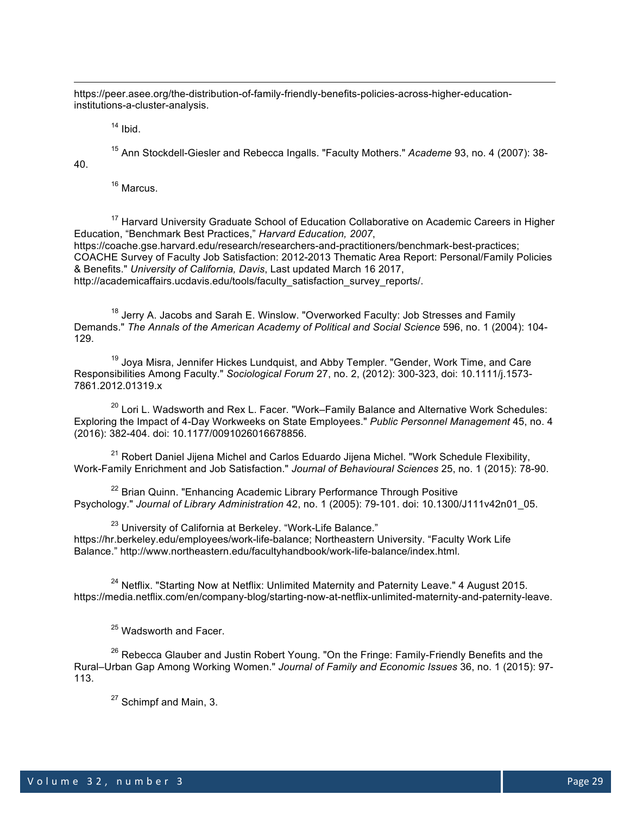https://peer.asee.org/the-distribution-of-family-friendly-benefits-policies-across-higher-educationinstitutions-a-cluster-analysis.

 $14$  Ibid.

<sup>15</sup> Ann Stockdell-Giesler and Rebecca Ingalls. "Faculty Mothers." *Academe* 93, no. 4 (2007): 38- 40.

<u> 1989 - Johann Stoff, fransk politik (f. 1989)</u>

<sup>16</sup> Marcus.

<sup>17</sup> Harvard University Graduate School of Education Collaborative on Academic Careers in Higher Education, "Benchmark Best Practices," *Harvard Education, 2007*, https://coache.gse.harvard.edu/research/researchers-and-practitioners/benchmark-best-practices; COACHE Survey of Faculty Job Satisfaction: 2012-2013 Thematic Area Report: Personal/Family Policies & Benefits." *University of California, Davis*, Last updated March 16 2017, http://academicaffairs.ucdavis.edu/tools/faculty\_satisfaction\_survey\_reports/.

 $^{18}$  Jerry A. Jacobs and Sarah E. Winslow. "Overworked Faculty: Job Stresses and Family Demands." *The Annals of the American Academy of Political and Social Science* 596, no. 1 (2004): 104- 129.

<sup>19</sup> Joya Misra, Jennifer Hickes Lundquist, and Abby Templer. "Gender, Work Time, and Care Responsibilities Among Faculty." *Sociological Forum* 27, no. 2, (2012): 300-323, doi: 10.1111/j.1573- 7861.2012.01319.x

<sup>20</sup> Lori L. Wadsworth and Rex L. Facer. "Work–Family Balance and Alternative Work Schedules: Exploring the Impact of 4-Day Workweeks on State Employees." *Public Personnel Management* 45, no. 4 (2016): 382-404. doi: 10.1177/0091026016678856.

<sup>21</sup> Robert Daniel Jijena Michel and Carlos Eduardo Jijena Michel. "Work Schedule Flexibility, Work-Family Enrichment and Job Satisfaction." *Journal of Behavioural Sciences* 25, no. 1 (2015): 78-90.

<sup>22</sup> Brian Quinn. "Enhancing Academic Library Performance Through Positive Psychology." *Journal of Library Administration* 42, no. 1 (2005): 79-101. doi: 10.1300/J111v42n01\_05.

<sup>23</sup> University of California at Berkeley. "Work-Life Balance." https://hr.berkeley.edu/employees/work-life-balance; Northeastern University. "Faculty Work Life Balance." http://www.northeastern.edu/facultyhandbook/work-life-balance/index.html.

 $24$  Netflix. "Starting Now at Netflix: Unlimited Maternity and Paternity Leave." 4 August 2015. https://media.netflix.com/en/company-blog/starting-now-at-netflix-unlimited-maternity-and-paternity-leave.

<sup>25</sup> Wadsworth and Facer.

<sup>26</sup> Rebecca Glauber and Justin Robert Young. "On the Fringe: Family-Friendly Benefits and the Rural–Urban Gap Among Working Women." *Journal of Family and Economic Issues* 36, no. 1 (2015): 97- 113.

<sup>27</sup> Schimpf and Main, 3.